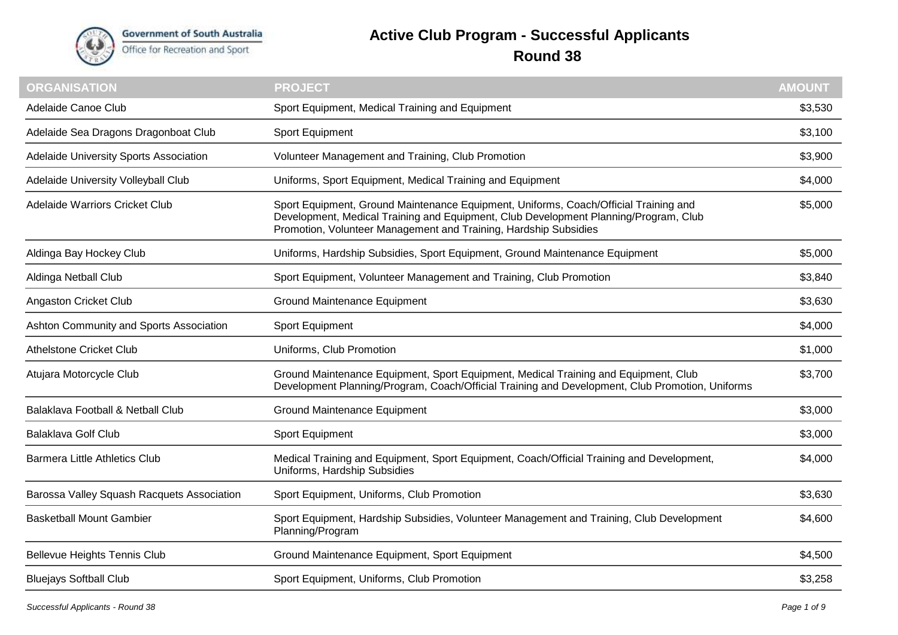

**Government of South Australia** Office for Recreation and Sport

## **Active Club Program - Successful Applicants**

## **Round 38**

| <b>ORGANISATION</b>                        | <b>PROJECT</b>                                                                                                                                                                                                                                   | <b>AMOUNT</b> |
|--------------------------------------------|--------------------------------------------------------------------------------------------------------------------------------------------------------------------------------------------------------------------------------------------------|---------------|
| Adelaide Canoe Club                        | Sport Equipment, Medical Training and Equipment                                                                                                                                                                                                  | \$3,530       |
| Adelaide Sea Dragons Dragonboat Club       | Sport Equipment                                                                                                                                                                                                                                  | \$3,100       |
| Adelaide University Sports Association     | Volunteer Management and Training, Club Promotion                                                                                                                                                                                                | \$3,900       |
| Adelaide University Volleyball Club        | Uniforms, Sport Equipment, Medical Training and Equipment                                                                                                                                                                                        | \$4,000       |
| Adelaide Warriors Cricket Club             | Sport Equipment, Ground Maintenance Equipment, Uniforms, Coach/Official Training and<br>Development, Medical Training and Equipment, Club Development Planning/Program, Club<br>Promotion, Volunteer Management and Training, Hardship Subsidies | \$5,000       |
| Aldinga Bay Hockey Club                    | Uniforms, Hardship Subsidies, Sport Equipment, Ground Maintenance Equipment                                                                                                                                                                      | \$5,000       |
| Aldinga Netball Club                       | Sport Equipment, Volunteer Management and Training, Club Promotion                                                                                                                                                                               | \$3,840       |
| Angaston Cricket Club                      | <b>Ground Maintenance Equipment</b>                                                                                                                                                                                                              | \$3,630       |
| Ashton Community and Sports Association    | Sport Equipment                                                                                                                                                                                                                                  | \$4,000       |
| <b>Athelstone Cricket Club</b>             | Uniforms, Club Promotion                                                                                                                                                                                                                         | \$1,000       |
| Atujara Motorcycle Club                    | Ground Maintenance Equipment, Sport Equipment, Medical Training and Equipment, Club<br>Development Planning/Program, Coach/Official Training and Development, Club Promotion, Uniforms                                                           | \$3,700       |
| Balaklava Football & Netball Club          | Ground Maintenance Equipment                                                                                                                                                                                                                     | \$3,000       |
| <b>Balaklava Golf Club</b>                 | Sport Equipment                                                                                                                                                                                                                                  | \$3,000       |
| <b>Barmera Little Athletics Club</b>       | Medical Training and Equipment, Sport Equipment, Coach/Official Training and Development,<br>Uniforms, Hardship Subsidies                                                                                                                        | \$4,000       |
| Barossa Valley Squash Racquets Association | Sport Equipment, Uniforms, Club Promotion                                                                                                                                                                                                        | \$3,630       |
| <b>Basketball Mount Gambier</b>            | Sport Equipment, Hardship Subsidies, Volunteer Management and Training, Club Development<br>Planning/Program                                                                                                                                     | \$4,600       |
| <b>Bellevue Heights Tennis Club</b>        | Ground Maintenance Equipment, Sport Equipment                                                                                                                                                                                                    | \$4,500       |
| <b>Bluejays Softball Club</b>              | Sport Equipment, Uniforms, Club Promotion                                                                                                                                                                                                        | \$3,258       |
|                                            |                                                                                                                                                                                                                                                  |               |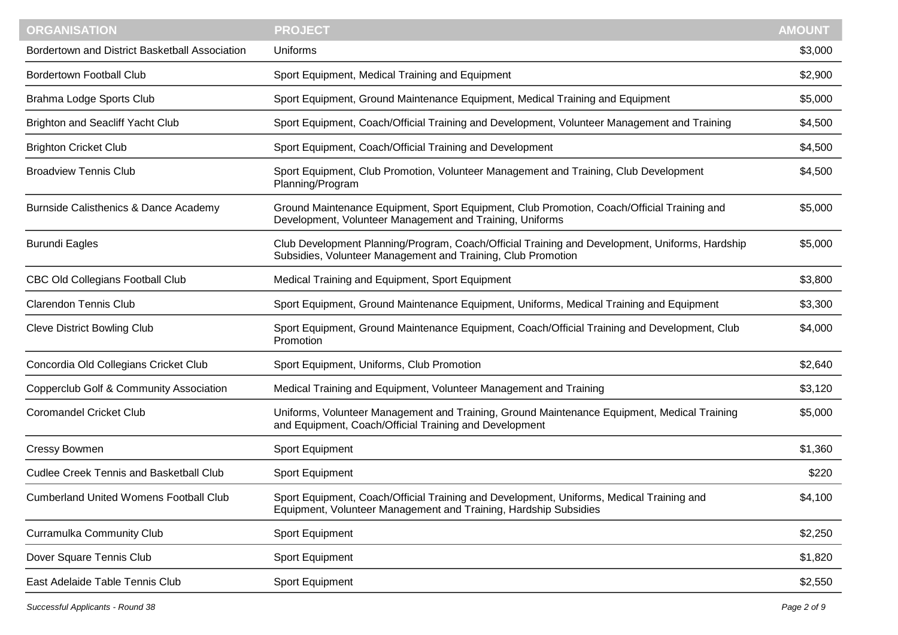| <b>ORGANISATION</b>                            | <b>PROJECT</b>                                                                                                                                                 | <b>AMOUNT</b> |
|------------------------------------------------|----------------------------------------------------------------------------------------------------------------------------------------------------------------|---------------|
| Bordertown and District Basketball Association | Uniforms                                                                                                                                                       | \$3,000       |
| <b>Bordertown Football Club</b>                | Sport Equipment, Medical Training and Equipment                                                                                                                | \$2,900       |
| Brahma Lodge Sports Club                       | Sport Equipment, Ground Maintenance Equipment, Medical Training and Equipment                                                                                  | \$5,000       |
| <b>Brighton and Seacliff Yacht Club</b>        | Sport Equipment, Coach/Official Training and Development, Volunteer Management and Training                                                                    | \$4,500       |
| <b>Brighton Cricket Club</b>                   | Sport Equipment, Coach/Official Training and Development                                                                                                       | \$4,500       |
| <b>Broadview Tennis Club</b>                   | Sport Equipment, Club Promotion, Volunteer Management and Training, Club Development<br>Planning/Program                                                       | \$4,500       |
| Burnside Calisthenics & Dance Academy          | Ground Maintenance Equipment, Sport Equipment, Club Promotion, Coach/Official Training and<br>Development, Volunteer Management and Training, Uniforms         | \$5,000       |
| <b>Burundi Eagles</b>                          | Club Development Planning/Program, Coach/Official Training and Development, Uniforms, Hardship<br>Subsidies, Volunteer Management and Training, Club Promotion | \$5,000       |
| <b>CBC Old Collegians Football Club</b>        | Medical Training and Equipment, Sport Equipment                                                                                                                | \$3,800       |
| <b>Clarendon Tennis Club</b>                   | Sport Equipment, Ground Maintenance Equipment, Uniforms, Medical Training and Equipment                                                                        | \$3,300       |
| <b>Cleve District Bowling Club</b>             | Sport Equipment, Ground Maintenance Equipment, Coach/Official Training and Development, Club<br>Promotion                                                      | \$4,000       |
| Concordia Old Collegians Cricket Club          | Sport Equipment, Uniforms, Club Promotion                                                                                                                      | \$2,640       |
| Copperclub Golf & Community Association        | Medical Training and Equipment, Volunteer Management and Training                                                                                              | \$3,120       |
| <b>Coromandel Cricket Club</b>                 | Uniforms, Volunteer Management and Training, Ground Maintenance Equipment, Medical Training<br>and Equipment, Coach/Official Training and Development          | \$5,000       |
| <b>Cressy Bowmen</b>                           | Sport Equipment                                                                                                                                                | \$1,360       |
| <b>Cudlee Creek Tennis and Basketball Club</b> | Sport Equipment                                                                                                                                                | \$220         |
| <b>Cumberland United Womens Football Club</b>  | Sport Equipment, Coach/Official Training and Development, Uniforms, Medical Training and<br>Equipment, Volunteer Management and Training, Hardship Subsidies   | \$4,100       |
| Curramulka Community Club                      | Sport Equipment                                                                                                                                                | \$2,250       |
| Dover Square Tennis Club                       | Sport Equipment                                                                                                                                                | \$1,820       |
| East Adelaide Table Tennis Club                | Sport Equipment                                                                                                                                                | \$2,550       |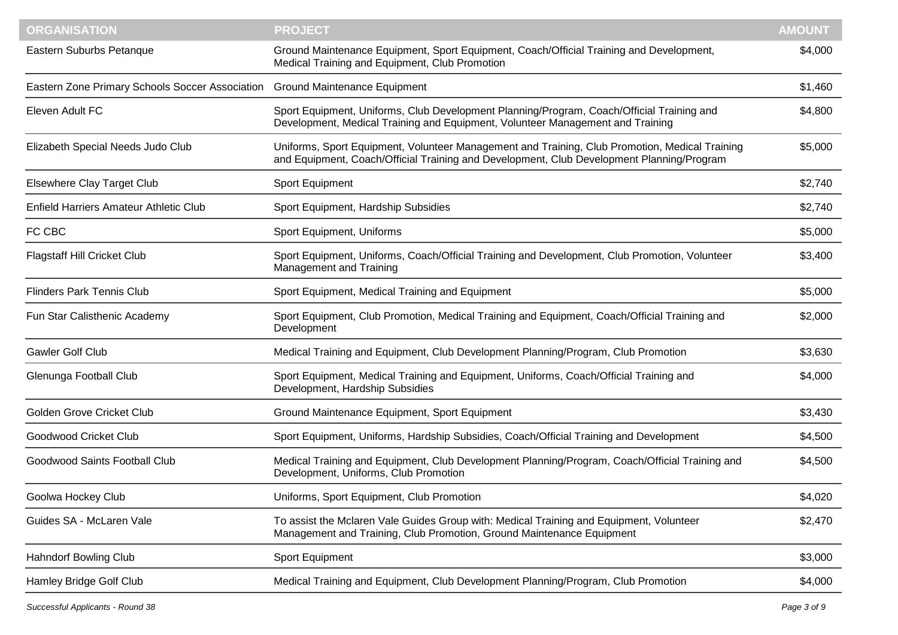| <b>ORGANISATION</b>                                                          | <b>PROJECT</b>                                                                                                                                                                              | <b>AMOUNT</b> |
|------------------------------------------------------------------------------|---------------------------------------------------------------------------------------------------------------------------------------------------------------------------------------------|---------------|
| Eastern Suburbs Petanque                                                     | Ground Maintenance Equipment, Sport Equipment, Coach/Official Training and Development,<br>Medical Training and Equipment, Club Promotion                                                   | \$4,000       |
| Eastern Zone Primary Schools Soccer Association Ground Maintenance Equipment |                                                                                                                                                                                             | \$1,460       |
| Eleven Adult FC                                                              | Sport Equipment, Uniforms, Club Development Planning/Program, Coach/Official Training and<br>Development, Medical Training and Equipment, Volunteer Management and Training                 | \$4,800       |
| Elizabeth Special Needs Judo Club                                            | Uniforms, Sport Equipment, Volunteer Management and Training, Club Promotion, Medical Training<br>and Equipment, Coach/Official Training and Development, Club Development Planning/Program | \$5,000       |
| <b>Elsewhere Clay Target Club</b>                                            | Sport Equipment                                                                                                                                                                             | \$2,740       |
| <b>Enfield Harriers Amateur Athletic Club</b>                                | Sport Equipment, Hardship Subsidies                                                                                                                                                         | \$2,740       |
| FC CBC                                                                       | Sport Equipment, Uniforms                                                                                                                                                                   | \$5,000       |
| <b>Flagstaff Hill Cricket Club</b>                                           | Sport Equipment, Uniforms, Coach/Official Training and Development, Club Promotion, Volunteer<br>Management and Training                                                                    | \$3,400       |
| <b>Flinders Park Tennis Club</b>                                             | Sport Equipment, Medical Training and Equipment                                                                                                                                             | \$5,000       |
| Fun Star Calisthenic Academy                                                 | Sport Equipment, Club Promotion, Medical Training and Equipment, Coach/Official Training and<br>Development                                                                                 | \$2,000       |
| Gawler Golf Club                                                             | Medical Training and Equipment, Club Development Planning/Program, Club Promotion                                                                                                           | \$3,630       |
| Glenunga Football Club                                                       | Sport Equipment, Medical Training and Equipment, Uniforms, Coach/Official Training and<br>Development, Hardship Subsidies                                                                   | \$4,000       |
| Golden Grove Cricket Club                                                    | Ground Maintenance Equipment, Sport Equipment                                                                                                                                               | \$3,430       |
| Goodwood Cricket Club                                                        | Sport Equipment, Uniforms, Hardship Subsidies, Coach/Official Training and Development                                                                                                      | \$4,500       |
| Goodwood Saints Football Club                                                | Medical Training and Equipment, Club Development Planning/Program, Coach/Official Training and<br>Development, Uniforms, Club Promotion                                                     | \$4,500       |
| Goolwa Hockey Club                                                           | Uniforms, Sport Equipment, Club Promotion                                                                                                                                                   | \$4,020       |
| Guides SA - McLaren Vale                                                     | To assist the Mclaren Vale Guides Group with: Medical Training and Equipment, Volunteer<br>Management and Training, Club Promotion, Ground Maintenance Equipment                            | \$2,470       |
| <b>Hahndorf Bowling Club</b>                                                 | Sport Equipment                                                                                                                                                                             | \$3,000       |
| Hamley Bridge Golf Club                                                      | Medical Training and Equipment, Club Development Planning/Program, Club Promotion                                                                                                           | \$4,000       |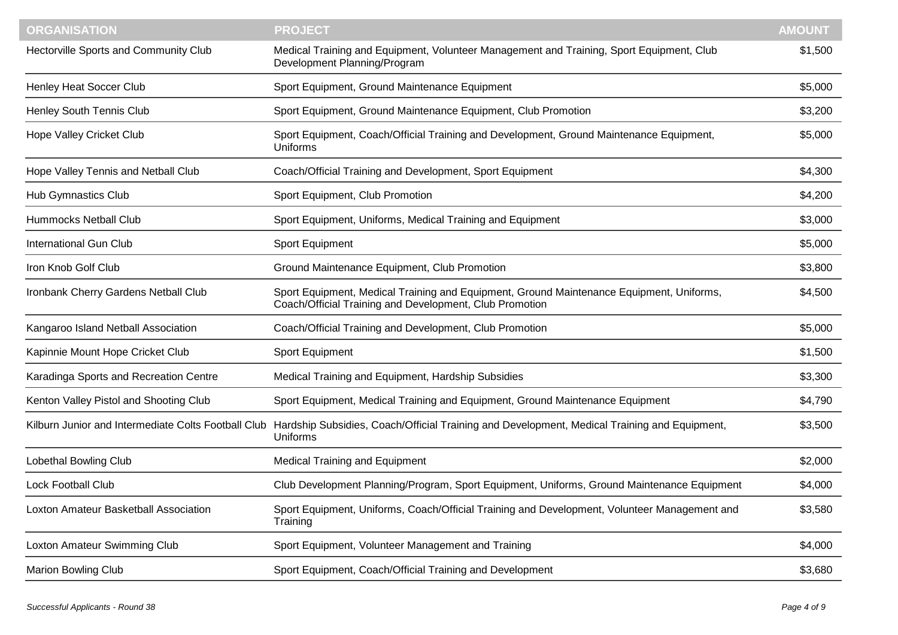| <b>ORGANISATION</b>                                 | <b>PROJECT</b>                                                                                                                                      | <b>AMOUNT</b> |
|-----------------------------------------------------|-----------------------------------------------------------------------------------------------------------------------------------------------------|---------------|
| Hectorville Sports and Community Club               | Medical Training and Equipment, Volunteer Management and Training, Sport Equipment, Club<br>Development Planning/Program                            | \$1,500       |
| Henley Heat Soccer Club                             | Sport Equipment, Ground Maintenance Equipment                                                                                                       | \$5,000       |
| Henley South Tennis Club                            | Sport Equipment, Ground Maintenance Equipment, Club Promotion                                                                                       | \$3,200       |
| Hope Valley Cricket Club                            | Sport Equipment, Coach/Official Training and Development, Ground Maintenance Equipment,<br>Uniforms                                                 | \$5,000       |
| Hope Valley Tennis and Netball Club                 | Coach/Official Training and Development, Sport Equipment                                                                                            | \$4,300       |
| <b>Hub Gymnastics Club</b>                          | Sport Equipment, Club Promotion                                                                                                                     | \$4,200       |
| Hummocks Netball Club                               | Sport Equipment, Uniforms, Medical Training and Equipment                                                                                           | \$3,000       |
| <b>International Gun Club</b>                       | Sport Equipment                                                                                                                                     | \$5,000       |
| Iron Knob Golf Club                                 | Ground Maintenance Equipment, Club Promotion                                                                                                        | \$3,800       |
| Ironbank Cherry Gardens Netball Club                | Sport Equipment, Medical Training and Equipment, Ground Maintenance Equipment, Uniforms,<br>Coach/Official Training and Development, Club Promotion | \$4,500       |
| Kangaroo Island Netball Association                 | Coach/Official Training and Development, Club Promotion                                                                                             | \$5,000       |
| Kapinnie Mount Hope Cricket Club                    | Sport Equipment                                                                                                                                     | \$1,500       |
| Karadinga Sports and Recreation Centre              | Medical Training and Equipment, Hardship Subsidies                                                                                                  | \$3,300       |
| Kenton Valley Pistol and Shooting Club              | Sport Equipment, Medical Training and Equipment, Ground Maintenance Equipment                                                                       | \$4,790       |
| Kilburn Junior and Intermediate Colts Football Club | Hardship Subsidies, Coach/Official Training and Development, Medical Training and Equipment,<br>Uniforms                                            | \$3,500       |
| Lobethal Bowling Club                               | <b>Medical Training and Equipment</b>                                                                                                               | \$2,000       |
| <b>Lock Football Club</b>                           | Club Development Planning/Program, Sport Equipment, Uniforms, Ground Maintenance Equipment                                                          | \$4,000       |
| Loxton Amateur Basketball Association               | Sport Equipment, Uniforms, Coach/Official Training and Development, Volunteer Management and<br>Training                                            | \$3,580       |
| Loxton Amateur Swimming Club                        | Sport Equipment, Volunteer Management and Training                                                                                                  | \$4,000       |
| <b>Marion Bowling Club</b>                          | Sport Equipment, Coach/Official Training and Development                                                                                            | \$3,680       |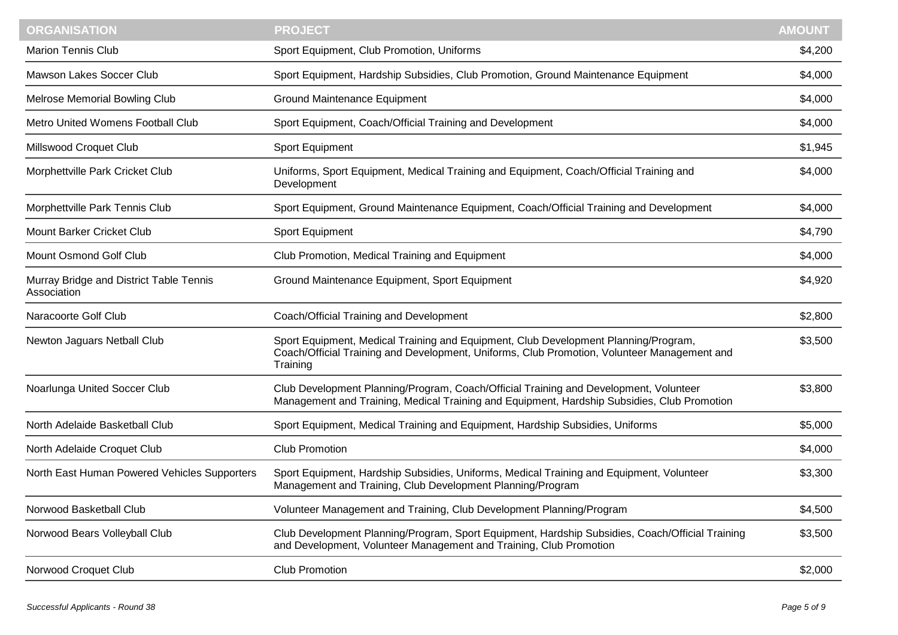| <b>ORGANISATION</b>                                    | <b>PROJECT</b>                                                                                                                                                                                 | <b>AMOUNT</b> |
|--------------------------------------------------------|------------------------------------------------------------------------------------------------------------------------------------------------------------------------------------------------|---------------|
| <b>Marion Tennis Club</b>                              | Sport Equipment, Club Promotion, Uniforms                                                                                                                                                      | \$4,200       |
| Mawson Lakes Soccer Club                               | Sport Equipment, Hardship Subsidies, Club Promotion, Ground Maintenance Equipment                                                                                                              | \$4,000       |
| Melrose Memorial Bowling Club                          | <b>Ground Maintenance Equipment</b>                                                                                                                                                            | \$4,000       |
| Metro United Womens Football Club                      | Sport Equipment, Coach/Official Training and Development                                                                                                                                       | \$4,000       |
| Millswood Croquet Club                                 | Sport Equipment                                                                                                                                                                                | \$1,945       |
| Morphettville Park Cricket Club                        | Uniforms, Sport Equipment, Medical Training and Equipment, Coach/Official Training and<br>Development                                                                                          | \$4,000       |
| Morphettville Park Tennis Club                         | Sport Equipment, Ground Maintenance Equipment, Coach/Official Training and Development                                                                                                         | \$4,000       |
| <b>Mount Barker Cricket Club</b>                       | Sport Equipment                                                                                                                                                                                | \$4,790       |
| Mount Osmond Golf Club                                 | Club Promotion, Medical Training and Equipment                                                                                                                                                 | \$4,000       |
| Murray Bridge and District Table Tennis<br>Association | Ground Maintenance Equipment, Sport Equipment                                                                                                                                                  | \$4,920       |
| Naracoorte Golf Club                                   | Coach/Official Training and Development                                                                                                                                                        | \$2,800       |
| Newton Jaguars Netball Club                            | Sport Equipment, Medical Training and Equipment, Club Development Planning/Program,<br>Coach/Official Training and Development, Uniforms, Club Promotion, Volunteer Management and<br>Training | \$3,500       |
| Noarlunga United Soccer Club                           | Club Development Planning/Program, Coach/Official Training and Development, Volunteer<br>Management and Training, Medical Training and Equipment, Hardship Subsidies, Club Promotion           | \$3,800       |
| North Adelaide Basketball Club                         | Sport Equipment, Medical Training and Equipment, Hardship Subsidies, Uniforms                                                                                                                  | \$5,000       |
| North Adelaide Croquet Club                            | <b>Club Promotion</b>                                                                                                                                                                          | \$4,000       |
| North East Human Powered Vehicles Supporters           | Sport Equipment, Hardship Subsidies, Uniforms, Medical Training and Equipment, Volunteer<br>Management and Training, Club Development Planning/Program                                         | \$3,300       |
| Norwood Basketball Club                                | Volunteer Management and Training, Club Development Planning/Program                                                                                                                           | \$4,500       |
| Norwood Bears Volleyball Club                          | Club Development Planning/Program, Sport Equipment, Hardship Subsidies, Coach/Official Training<br>and Development, Volunteer Management and Training, Club Promotion                          | \$3,500       |
| Norwood Croquet Club                                   | <b>Club Promotion</b>                                                                                                                                                                          | \$2,000       |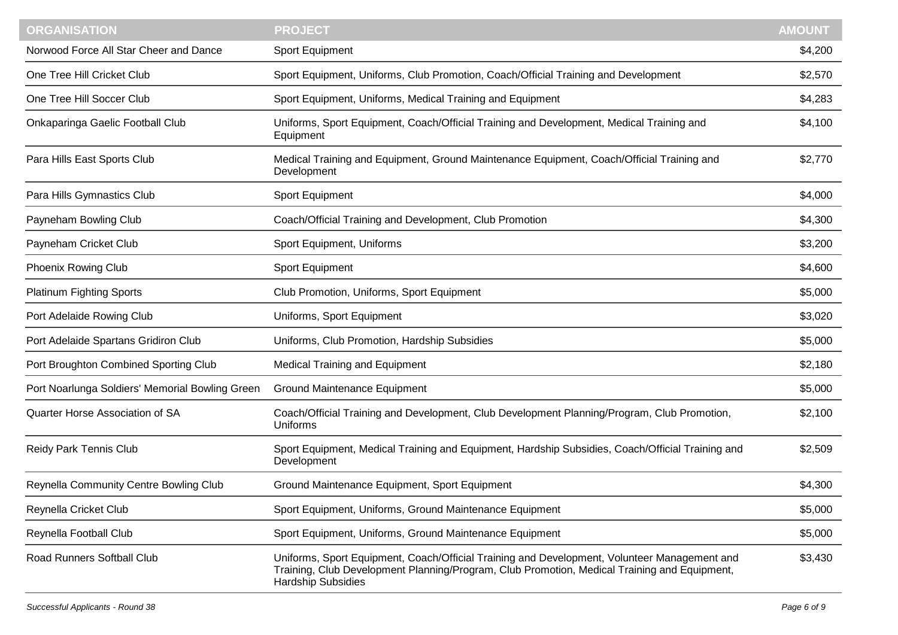| <b>ORGANISATION</b>                             | <b>PROJECT</b>                                                                                                                                                                                                            | <b>AMOUNT</b> |
|-------------------------------------------------|---------------------------------------------------------------------------------------------------------------------------------------------------------------------------------------------------------------------------|---------------|
| Norwood Force All Star Cheer and Dance          | Sport Equipment                                                                                                                                                                                                           | \$4,200       |
| One Tree Hill Cricket Club                      | Sport Equipment, Uniforms, Club Promotion, Coach/Official Training and Development                                                                                                                                        | \$2,570       |
| One Tree Hill Soccer Club                       | Sport Equipment, Uniforms, Medical Training and Equipment                                                                                                                                                                 | \$4,283       |
| Onkaparinga Gaelic Football Club                | Uniforms, Sport Equipment, Coach/Official Training and Development, Medical Training and<br>Equipment                                                                                                                     | \$4,100       |
| Para Hills East Sports Club                     | Medical Training and Equipment, Ground Maintenance Equipment, Coach/Official Training and<br>Development                                                                                                                  | \$2,770       |
| Para Hills Gymnastics Club                      | Sport Equipment                                                                                                                                                                                                           | \$4,000       |
| Payneham Bowling Club                           | Coach/Official Training and Development, Club Promotion                                                                                                                                                                   | \$4,300       |
| Payneham Cricket Club                           | Sport Equipment, Uniforms                                                                                                                                                                                                 | \$3,200       |
| <b>Phoenix Rowing Club</b>                      | Sport Equipment                                                                                                                                                                                                           | \$4,600       |
| <b>Platinum Fighting Sports</b>                 | Club Promotion, Uniforms, Sport Equipment                                                                                                                                                                                 | \$5,000       |
| Port Adelaide Rowing Club                       | Uniforms, Sport Equipment                                                                                                                                                                                                 | \$3,020       |
| Port Adelaide Spartans Gridiron Club            | Uniforms, Club Promotion, Hardship Subsidies                                                                                                                                                                              | \$5,000       |
| Port Broughton Combined Sporting Club           | <b>Medical Training and Equipment</b>                                                                                                                                                                                     | \$2,180       |
| Port Noarlunga Soldiers' Memorial Bowling Green | <b>Ground Maintenance Equipment</b>                                                                                                                                                                                       | \$5,000       |
| <b>Quarter Horse Association of SA</b>          | Coach/Official Training and Development, Club Development Planning/Program, Club Promotion,<br>Uniforms                                                                                                                   | \$2,100       |
| Reidy Park Tennis Club                          | Sport Equipment, Medical Training and Equipment, Hardship Subsidies, Coach/Official Training and<br>Development                                                                                                           | \$2,509       |
| Reynella Community Centre Bowling Club          | Ground Maintenance Equipment, Sport Equipment                                                                                                                                                                             | \$4,300       |
| Reynella Cricket Club                           | Sport Equipment, Uniforms, Ground Maintenance Equipment                                                                                                                                                                   | \$5,000       |
| Reynella Football Club                          | Sport Equipment, Uniforms, Ground Maintenance Equipment                                                                                                                                                                   | \$5,000       |
| Road Runners Softball Club                      | Uniforms, Sport Equipment, Coach/Official Training and Development, Volunteer Management and<br>Training, Club Development Planning/Program, Club Promotion, Medical Training and Equipment,<br><b>Hardship Subsidies</b> | \$3,430       |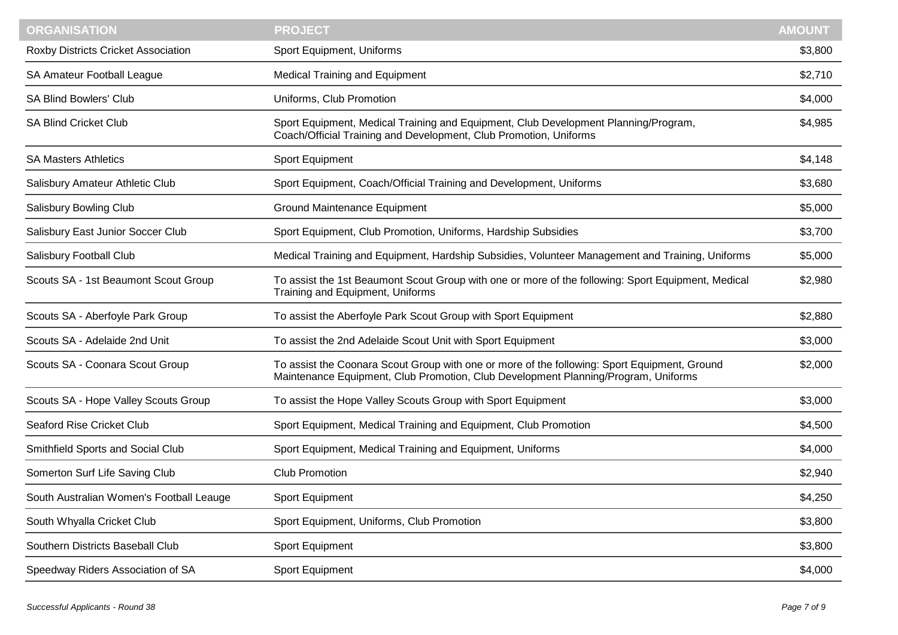| <b>ORGANISATION</b>                      | <b>PROJECT</b>                                                                                                                                                                     | <b>AMOUNT</b> |
|------------------------------------------|------------------------------------------------------------------------------------------------------------------------------------------------------------------------------------|---------------|
| Roxby Districts Cricket Association      | Sport Equipment, Uniforms                                                                                                                                                          | \$3,800       |
| SA Amateur Football League               | <b>Medical Training and Equipment</b>                                                                                                                                              | \$2,710       |
| <b>SA Blind Bowlers' Club</b>            | Uniforms, Club Promotion                                                                                                                                                           | \$4,000       |
| <b>SA Blind Cricket Club</b>             | Sport Equipment, Medical Training and Equipment, Club Development Planning/Program,<br>Coach/Official Training and Development, Club Promotion, Uniforms                           | \$4,985       |
| <b>SA Masters Athletics</b>              | Sport Equipment                                                                                                                                                                    | \$4,148       |
| Salisbury Amateur Athletic Club          | Sport Equipment, Coach/Official Training and Development, Uniforms                                                                                                                 | \$3,680       |
| Salisbury Bowling Club                   | <b>Ground Maintenance Equipment</b>                                                                                                                                                | \$5,000       |
| Salisbury East Junior Soccer Club        | Sport Equipment, Club Promotion, Uniforms, Hardship Subsidies                                                                                                                      | \$3,700       |
| Salisbury Football Club                  | Medical Training and Equipment, Hardship Subsidies, Volunteer Management and Training, Uniforms                                                                                    | \$5,000       |
| Scouts SA - 1st Beaumont Scout Group     | To assist the 1st Beaumont Scout Group with one or more of the following: Sport Equipment, Medical<br>Training and Equipment, Uniforms                                             | \$2,980       |
| Scouts SA - Aberfoyle Park Group         | To assist the Aberfoyle Park Scout Group with Sport Equipment                                                                                                                      | \$2,880       |
| Scouts SA - Adelaide 2nd Unit            | To assist the 2nd Adelaide Scout Unit with Sport Equipment                                                                                                                         | \$3,000       |
| Scouts SA - Coonara Scout Group          | To assist the Coonara Scout Group with one or more of the following: Sport Equipment, Ground<br>Maintenance Equipment, Club Promotion, Club Development Planning/Program, Uniforms | \$2,000       |
| Scouts SA - Hope Valley Scouts Group     | To assist the Hope Valley Scouts Group with Sport Equipment                                                                                                                        | \$3,000       |
| Seaford Rise Cricket Club                | Sport Equipment, Medical Training and Equipment, Club Promotion                                                                                                                    | \$4,500       |
| Smithfield Sports and Social Club        | Sport Equipment, Medical Training and Equipment, Uniforms                                                                                                                          | \$4,000       |
| Somerton Surf Life Saving Club           | <b>Club Promotion</b>                                                                                                                                                              | \$2,940       |
| South Australian Women's Football Leauge | Sport Equipment                                                                                                                                                                    | \$4,250       |
| South Whyalla Cricket Club               | Sport Equipment, Uniforms, Club Promotion                                                                                                                                          | \$3,800       |
| Southern Districts Baseball Club         | Sport Equipment                                                                                                                                                                    | \$3,800       |
| Speedway Riders Association of SA        | Sport Equipment                                                                                                                                                                    | \$4,000       |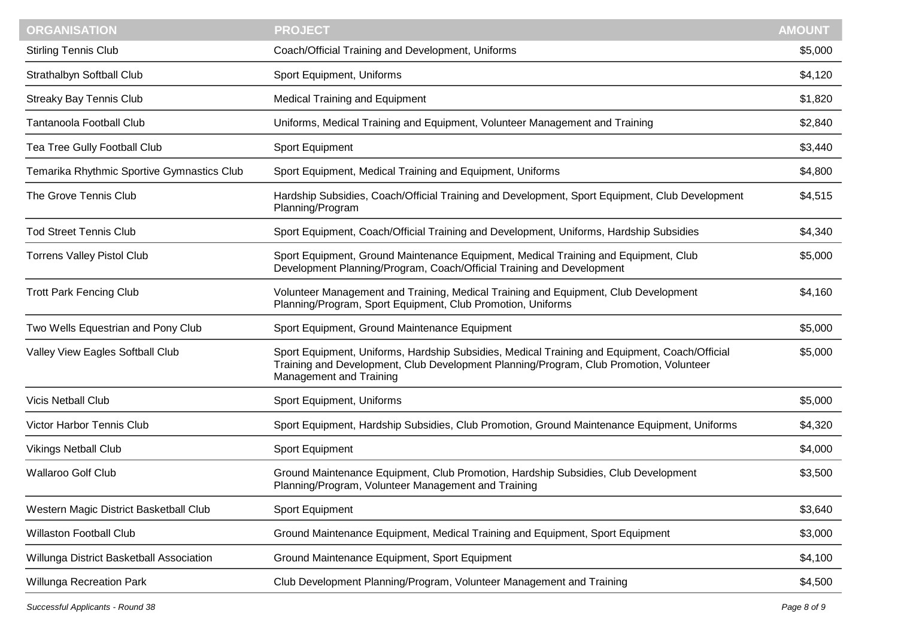| <b>ORGANISATION</b>                        | <b>PROJECT</b>                                                                                                                                                                                                     | <b>AMOUNT</b> |
|--------------------------------------------|--------------------------------------------------------------------------------------------------------------------------------------------------------------------------------------------------------------------|---------------|
| <b>Stirling Tennis Club</b>                | Coach/Official Training and Development, Uniforms                                                                                                                                                                  | \$5,000       |
| Strathalbyn Softball Club                  | Sport Equipment, Uniforms                                                                                                                                                                                          | \$4,120       |
| <b>Streaky Bay Tennis Club</b>             | <b>Medical Training and Equipment</b>                                                                                                                                                                              | \$1,820       |
| <b>Tantanoola Football Club</b>            | Uniforms, Medical Training and Equipment, Volunteer Management and Training                                                                                                                                        | \$2,840       |
| Tea Tree Gully Football Club               | Sport Equipment                                                                                                                                                                                                    | \$3,440       |
| Temarika Rhythmic Sportive Gymnastics Club | Sport Equipment, Medical Training and Equipment, Uniforms                                                                                                                                                          | \$4,800       |
| The Grove Tennis Club                      | Hardship Subsidies, Coach/Official Training and Development, Sport Equipment, Club Development<br>Planning/Program                                                                                                 | \$4,515       |
| <b>Tod Street Tennis Club</b>              | Sport Equipment, Coach/Official Training and Development, Uniforms, Hardship Subsidies                                                                                                                             | \$4,340       |
| <b>Torrens Valley Pistol Club</b>          | Sport Equipment, Ground Maintenance Equipment, Medical Training and Equipment, Club<br>Development Planning/Program, Coach/Official Training and Development                                                       | \$5,000       |
| <b>Trott Park Fencing Club</b>             | Volunteer Management and Training, Medical Training and Equipment, Club Development<br>Planning/Program, Sport Equipment, Club Promotion, Uniforms                                                                 | \$4,160       |
| Two Wells Equestrian and Pony Club         | Sport Equipment, Ground Maintenance Equipment                                                                                                                                                                      | \$5,000       |
| Valley View Eagles Softball Club           | Sport Equipment, Uniforms, Hardship Subsidies, Medical Training and Equipment, Coach/Official<br>Training and Development, Club Development Planning/Program, Club Promotion, Volunteer<br>Management and Training | \$5,000       |
| <b>Vicis Netball Club</b>                  | Sport Equipment, Uniforms                                                                                                                                                                                          | \$5,000       |
| <b>Victor Harbor Tennis Club</b>           | Sport Equipment, Hardship Subsidies, Club Promotion, Ground Maintenance Equipment, Uniforms                                                                                                                        | \$4,320       |
| <b>Vikings Netball Club</b>                | Sport Equipment                                                                                                                                                                                                    | \$4,000       |
| <b>Wallaroo Golf Club</b>                  | Ground Maintenance Equipment, Club Promotion, Hardship Subsidies, Club Development<br>Planning/Program, Volunteer Management and Training                                                                          | \$3,500       |
| Western Magic District Basketball Club     | Sport Equipment                                                                                                                                                                                                    | \$3,640       |
| <b>Willaston Football Club</b>             | Ground Maintenance Equipment, Medical Training and Equipment, Sport Equipment                                                                                                                                      | \$3,000       |
| Willunga District Basketball Association   | Ground Maintenance Equipment, Sport Equipment                                                                                                                                                                      | \$4,100       |
| Willunga Recreation Park                   | Club Development Planning/Program, Volunteer Management and Training                                                                                                                                               | \$4,500       |